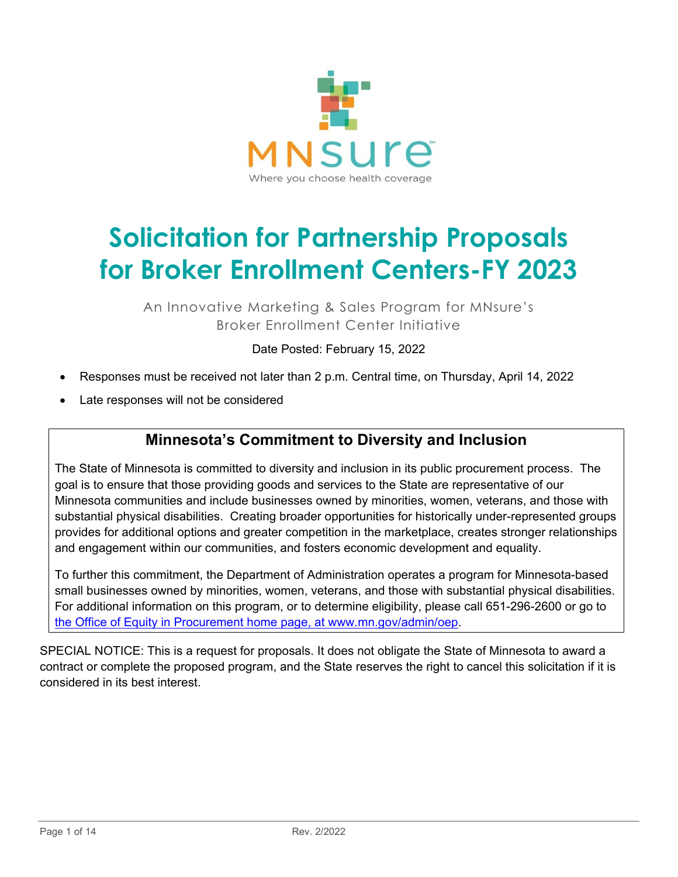

# **Solicitation for Partnership Proposals for Broker Enrollment Centers-FY 2023**

An Innovative Marketing & Sales Program for MNsure's Broker Enrollment Center Initiative

Date Posted: February 15, 2022

- Responses must be received not later than 2 p.m. Central time, on Thursday, April 14, 2022
- Late responses will not be considered

## **Minnesota's Commitment to Diversity and Inclusion**

The State of Minnesota is committed to diversity and inclusion in its public procurement process. The goal is to ensure that those providing goods and services to the State are representative of our Minnesota communities and include businesses owned by minorities, women, veterans, and those with substantial physical disabilities. Creating broader opportunities for historically under-represented groups provides for additional options and greater competition in the marketplace, creates stronger relationships and engagement within our communities, and fosters economic development and equality.

To further this commitment, the Department of Administration operates a program for Minnesota-based small businesses owned by minorities, women, veterans, and those with substantial physical disabilities. For additional information on this program, or to determine eligibility, please call 651-296-2600 or go to [the Office of Equity in Procurement home page, at www.mn.gov/admin/oep.](http://www.mn.gov/admin/oep)

SPECIAL NOTICE: This is a request for proposals. It does not obligate the State of Minnesota to award a contract or complete the proposed program, and the State reserves the right to cancel this solicitation if it is considered in its best interest.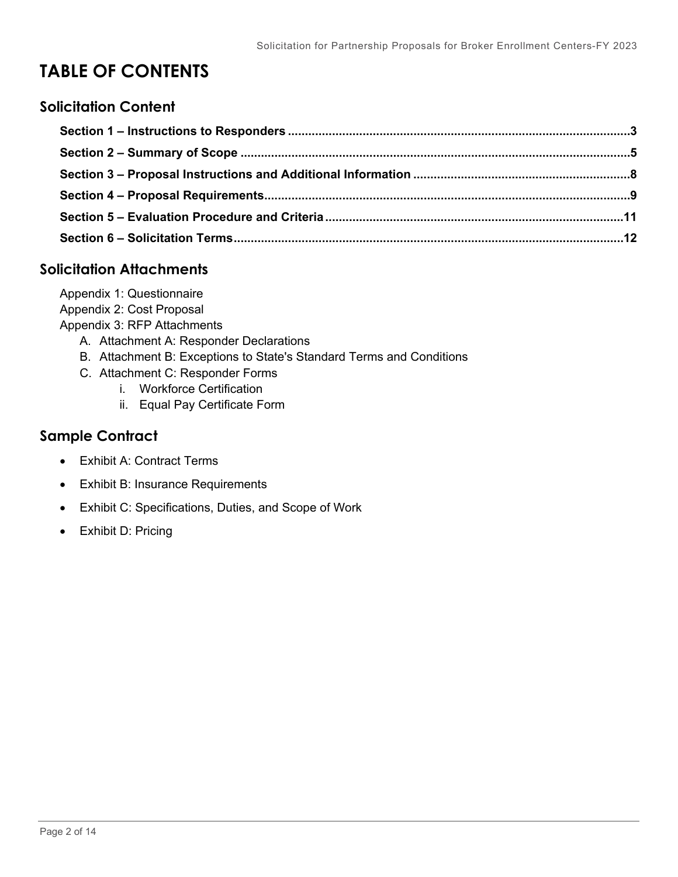## **TABLE OF CONTENTS**

#### **Solicitation Content**

## **Solicitation Attachments**

Appendix 1: Questionnaire Appendix 2: Cost Proposal Appendix 3: RFP Attachments A. Attachment A: Responder Declarations B. Attachment B: Exceptions to State's Standard Terms and Conditions C. Attachment C: Responder Forms i. Workforce Certification

ii. Equal Pay Certificate Form

## **Sample Contract**

- Exhibit A: Contract Terms
- Exhibit B: Insurance Requirements
- Exhibit C: Specifications, Duties, and Scope of Work
- <span id="page-1-0"></span>• Exhibit D: Pricing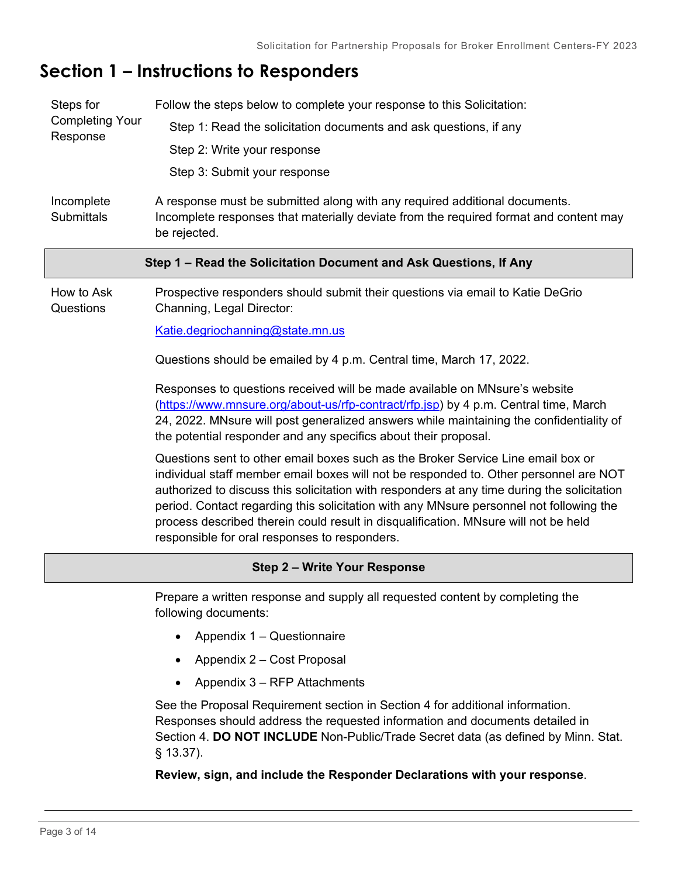## **Section 1 – Instructions to Responders**

| Steps for<br><b>Completing Your</b>                               | Follow the steps below to complete your response to this Solicitation:                                                                                                                                                                                                                                                                                                                                                                                                                                      |  |  |  |  |
|-------------------------------------------------------------------|-------------------------------------------------------------------------------------------------------------------------------------------------------------------------------------------------------------------------------------------------------------------------------------------------------------------------------------------------------------------------------------------------------------------------------------------------------------------------------------------------------------|--|--|--|--|
|                                                                   | Step 1: Read the solicitation documents and ask questions, if any                                                                                                                                                                                                                                                                                                                                                                                                                                           |  |  |  |  |
| Response                                                          | Step 2: Write your response                                                                                                                                                                                                                                                                                                                                                                                                                                                                                 |  |  |  |  |
|                                                                   | Step 3: Submit your response                                                                                                                                                                                                                                                                                                                                                                                                                                                                                |  |  |  |  |
| Incomplete<br><b>Submittals</b>                                   | A response must be submitted along with any required additional documents.<br>Incomplete responses that materially deviate from the required format and content may<br>be rejected.                                                                                                                                                                                                                                                                                                                         |  |  |  |  |
| Step 1 – Read the Solicitation Document and Ask Questions, If Any |                                                                                                                                                                                                                                                                                                                                                                                                                                                                                                             |  |  |  |  |
| How to Ask<br>Questions                                           | Prospective responders should submit their questions via email to Katie DeGrio<br>Channing, Legal Director:                                                                                                                                                                                                                                                                                                                                                                                                 |  |  |  |  |
|                                                                   | Katie.degriochanning@state.mn.us                                                                                                                                                                                                                                                                                                                                                                                                                                                                            |  |  |  |  |
|                                                                   | Questions should be emailed by 4 p.m. Central time, March 17, 2022.                                                                                                                                                                                                                                                                                                                                                                                                                                         |  |  |  |  |
|                                                                   | Responses to questions received will be made available on MNsure's website<br>(https://www.mnsure.org/about-us/rfp-contract/rfp.jsp) by 4 p.m. Central time, March<br>24, 2022. MNsure will post generalized answers while maintaining the confidentiality of<br>the potential responder and any specifics about their proposal.                                                                                                                                                                            |  |  |  |  |
|                                                                   | Questions sent to other email boxes such as the Broker Service Line email box or<br>individual staff member email boxes will not be responded to. Other personnel are NOT<br>authorized to discuss this solicitation with responders at any time during the solicitation<br>period. Contact regarding this solicitation with any MNsure personnel not following the<br>process described therein could result in disqualification. MNsure will not be held<br>responsible for oral responses to responders. |  |  |  |  |
| Step 2 - Write Your Response                                      |                                                                                                                                                                                                                                                                                                                                                                                                                                                                                                             |  |  |  |  |
|                                                                   | Prepare a written response and supply all requested content by completing the<br>following documents:                                                                                                                                                                                                                                                                                                                                                                                                       |  |  |  |  |
|                                                                   | Appendix 1 - Questionnaire                                                                                                                                                                                                                                                                                                                                                                                                                                                                                  |  |  |  |  |
|                                                                   | Appendix 2 - Cost Proposal                                                                                                                                                                                                                                                                                                                                                                                                                                                                                  |  |  |  |  |
|                                                                   | Appendix 3 - RFP Attachments                                                                                                                                                                                                                                                                                                                                                                                                                                                                                |  |  |  |  |
|                                                                   | See the Proposal Requirement section in Section 4 for additional information.<br>Responses should address the requested information and documents detailed in<br>Section 4. DO NOT INCLUDE Non-Public/Trade Secret data (as defined by Minn. Stat.<br>$§$ 13.37).                                                                                                                                                                                                                                           |  |  |  |  |

**Review, sign, and include the Responder Declarations with your response**.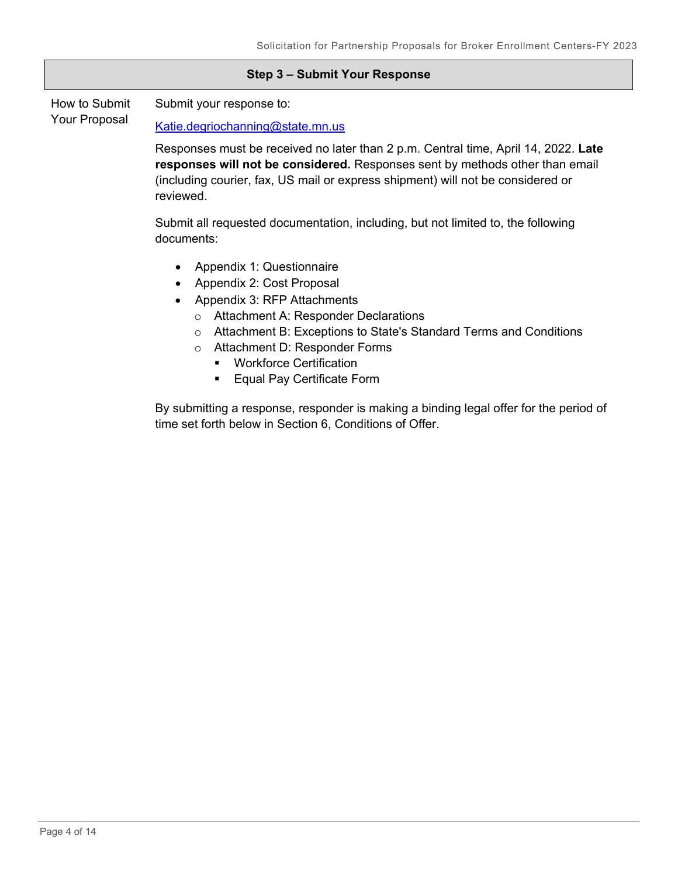|                                | Step 3 - Submit Your Response                                                                                                                                                                                                                                                                                                                                      |
|--------------------------------|--------------------------------------------------------------------------------------------------------------------------------------------------------------------------------------------------------------------------------------------------------------------------------------------------------------------------------------------------------------------|
| How to Submit<br>Your Proposal | Submit your response to:                                                                                                                                                                                                                                                                                                                                           |
|                                | Katie.degriochanning@state.mn.us                                                                                                                                                                                                                                                                                                                                   |
|                                | Responses must be received no later than 2 p.m. Central time, April 14, 2022. Late<br>responses will not be considered. Responses sent by methods other than email<br>(including courier, fax, US mail or express shipment) will not be considered or<br>reviewed.                                                                                                 |
|                                | Submit all requested documentation, including, but not limited to, the following<br>documents:                                                                                                                                                                                                                                                                     |
|                                | Appendix 1: Questionnaire<br>$\bullet$<br>Appendix 2: Cost Proposal<br>Appendix 3: RFP Attachments<br><b>Attachment A: Responder Declarations</b><br>$\circ$<br>Attachment B: Exceptions to State's Standard Terms and Conditions<br>$\circ$<br>Attachment D: Responder Forms<br>$\circ$<br><b>Workforce Certification</b><br>٠<br>Equal Pay Certificate Form<br>٠ |
|                                | By submitting a response, responder is making a binding legal offer for the period of<br>time set forth below in Section 6, Conditions of Offer.                                                                                                                                                                                                                   |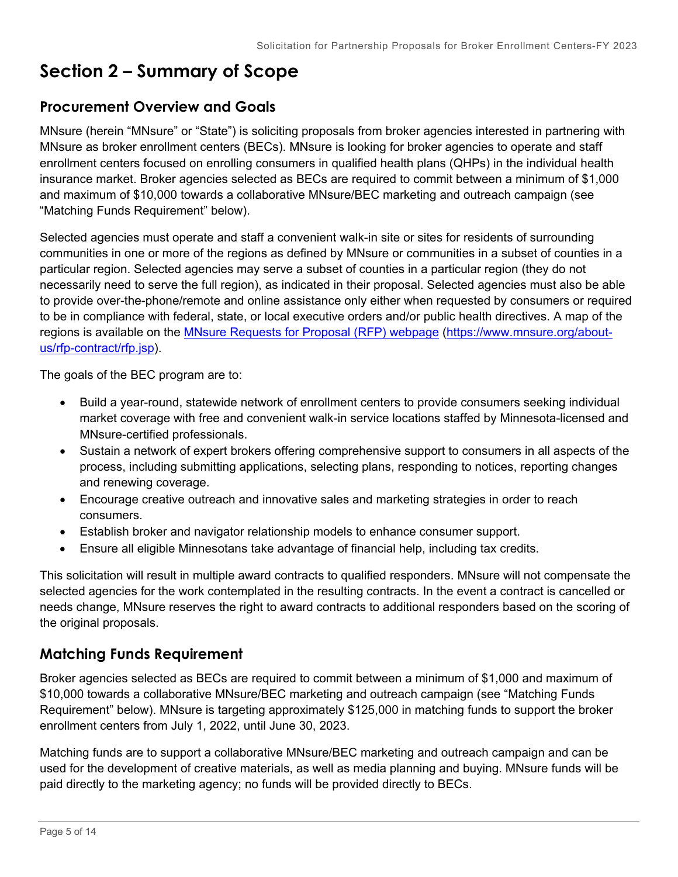## <span id="page-4-0"></span>**Section 2 – Summary of Scope**

## **Procurement Overview and Goals**

MNsure (herein "MNsure" or "State") is soliciting proposals from broker agencies interested in partnering with MNsure as broker enrollment centers (BECs). MNsure is looking for broker agencies to operate and staff enrollment centers focused on enrolling consumers in qualified health plans (QHPs) in the individual health insurance market. Broker agencies selected as BECs are required to commit between a minimum of \$1,000 and maximum of \$10,000 towards a collaborative MNsure/BEC marketing and outreach campaign (see "Matching Funds Requirement" below).

Selected agencies must operate and staff a convenient walk-in site or sites for residents of surrounding communities in one or more of the regions as defined by MNsure or communities in a subset of counties in a particular region. Selected agencies may serve a subset of counties in a particular region (they do not necessarily need to serve the full region), as indicated in their proposal. Selected agencies must also be able to provide over-the-phone/remote and online assistance only either when requested by consumers or required to be in compliance with federal, state, or local executive orders and/or public health directives. A map of the regions is available on the [MNsure Requests for Proposal \(RFP\) webpage \(https://www.mnsure.org/about](https://www.mnsure.org/about-us/rfp-contract/rfp.jsp)[us/rfp-contract/rfp.jsp\)](https://www.mnsure.org/about-us/rfp-contract/rfp.jsp).

The goals of the BEC program are to:

- Build a year-round, statewide network of enrollment centers to provide consumers seeking individual market coverage with free and convenient walk-in service locations staffed by Minnesota-licensed and MNsure-certified professionals.
- Sustain a network of expert brokers offering comprehensive support to consumers in all aspects of the process, including submitting applications, selecting plans, responding to notices, reporting changes and renewing coverage.
- Encourage creative outreach and innovative sales and marketing strategies in order to reach consumers.
- Establish broker and navigator relationship models to enhance consumer support.
- Ensure all eligible Minnesotans take advantage of financial help, including tax credits.

This solicitation will result in multiple award contracts to qualified responders. MNsure will not compensate the selected agencies for the work contemplated in the resulting contracts. In the event a contract is cancelled or needs change, MNsure reserves the right to award contracts to additional responders based on the scoring of the original proposals.

## **Matching Funds Requirement**

Broker agencies selected as BECs are required to commit between a minimum of \$1,000 and maximum of \$10,000 towards a collaborative MNsure/BEC marketing and outreach campaign (see "Matching Funds Requirement" below). MNsure is targeting approximately \$125,000 in matching funds to support the broker enrollment centers from July 1, 2022, until June 30, 2023.

Matching funds are to support a collaborative MNsure/BEC marketing and outreach campaign and can be used for the development of creative materials, as well as media planning and buying. MNsure funds will be paid directly to the marketing agency; no funds will be provided directly to BECs.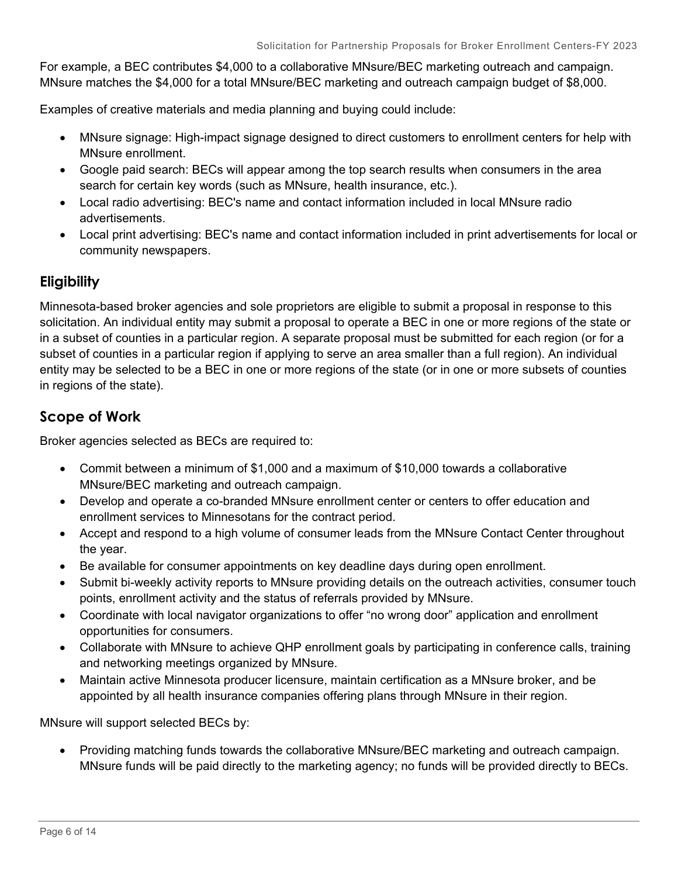For example, a BEC contributes \$4,000 to a collaborative MNsure/BEC marketing outreach and campaign. MNsure matches the \$4,000 for a total MNsure/BEC marketing and outreach campaign budget of \$8,000.

Examples of creative materials and media planning and buying could include:

- MNsure signage: High-impact signage designed to direct customers to enrollment centers for help with MNsure enrollment.
- Google paid search: BECs will appear among the top search results when consumers in the area search for certain key words (such as MNsure, health insurance, etc.).
- Local radio advertising: BEC's name and contact information included in local MNsure radio advertisements.
- Local print advertising: BEC's name and contact information included in print advertisements for local or community newspapers.

#### **Eligibility**

Minnesota-based broker agencies and sole proprietors are eligible to submit a proposal in response to this solicitation. An individual entity may submit a proposal to operate a BEC in one or more regions of the state or in a subset of counties in a particular region. A separate proposal must be submitted for each region (or for a subset of counties in a particular region if applying to serve an area smaller than a full region). An individual entity may be selected to be a BEC in one or more regions of the state (or in one or more subsets of counties in regions of the state).

### **Scope of Work**

Broker agencies selected as BECs are required to:

- Commit between a minimum of \$1,000 and a maximum of \$10,000 towards a collaborative MNsure/BEC marketing and outreach campaign.
- Develop and operate a co-branded MNsure enrollment center or centers to offer education and enrollment services to Minnesotans for the contract period.
- Accept and respond to a high volume of consumer leads from the MNsure Contact Center throughout the year.
- Be available for consumer appointments on key deadline days during open enrollment.
- Submit bi-weekly activity reports to MNsure providing details on the outreach activities, consumer touch points, enrollment activity and the status of referrals provided by MNsure.
- Coordinate with local navigator organizations to offer "no wrong door" application and enrollment opportunities for consumers.
- Collaborate with MNsure to achieve QHP enrollment goals by participating in conference calls, training and networking meetings organized by MNsure.
- Maintain active Minnesota producer licensure, maintain certification as a MNsure broker, and be appointed by all health insurance companies offering plans through MNsure in their region.

MNsure will support selected BECs by:

• Providing matching funds towards the collaborative MNsure/BEC marketing and outreach campaign. MNsure funds will be paid directly to the marketing agency; no funds will be provided directly to BECs.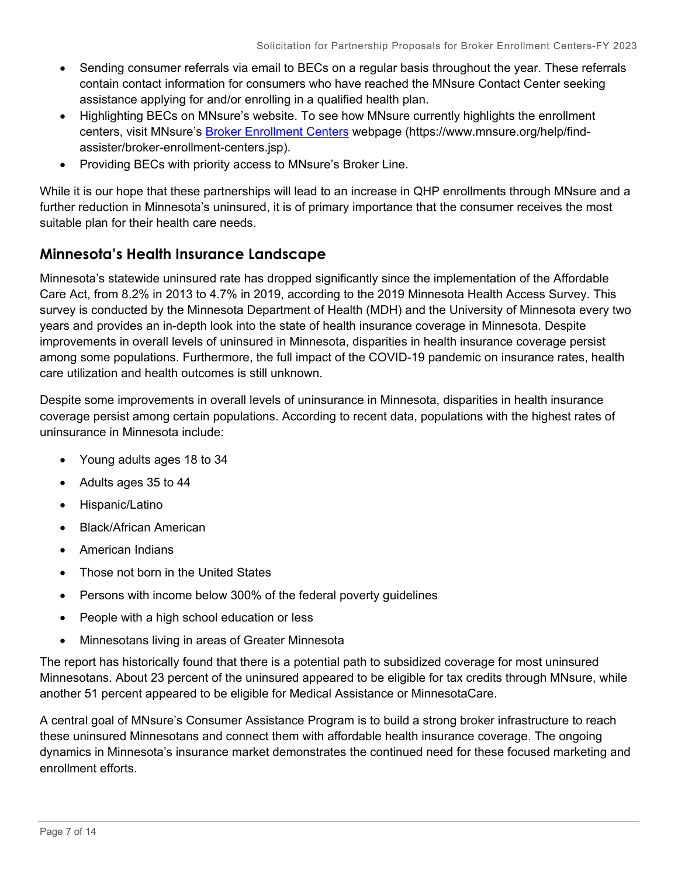- Sending consumer referrals via email to BECs on a regular basis throughout the year. These referrals contain contact information for consumers who have reached the MNsure Contact Center seeking assistance applying for and/or enrolling in a qualified health plan.
- Highlighting BECs on MNsure's website. To see how MNsure currently highlights the enrollment centers, visit MNsure's [Broker Enrollment Centers](https://www.mnsure.org/help/find-assister/broker-enrollment-centers.jsp) webpage (https://www.mnsure.org/help/findassister/broker-enrollment-centers.jsp).
- Providing BECs with priority access to MNsure's Broker Line.

While it is our hope that these partnerships will lead to an increase in QHP enrollments through MNsure and a further reduction in Minnesota's uninsured, it is of primary importance that the consumer receives the most suitable plan for their health care needs.

## **Minnesota's Health Insurance Landscape**

Minnesota's statewide uninsured rate has dropped significantly since the implementation of the Affordable Care Act, from 8.2% in 2013 to 4.7% in 2019, according to the 2019 Minnesota Health Access Survey. This survey is conducted by the Minnesota Department of Health (MDH) and the University of Minnesota every two years and provides an in-depth look into the state of health insurance coverage in Minnesota. Despite improvements in overall levels of uninsured in Minnesota, disparities in health insurance coverage persist among some populations. Furthermore, the full impact of the COVID-19 pandemic on insurance rates, health care utilization and health outcomes is still unknown.

Despite some improvements in overall levels of uninsurance in Minnesota, disparities in health insurance coverage persist among certain populations. According to recent data, populations with the highest rates of uninsurance in Minnesota include:

- Young adults ages 18 to 34
- Adults ages 35 to 44
- Hispanic/Latino
- Black/African American
- American Indians
- Those not born in the United States
- Persons with income below 300% of the federal poverty guidelines
- People with a high school education or less
- Minnesotans living in areas of Greater Minnesota

The report has historically found that there is a potential path to subsidized coverage for most uninsured Minnesotans. About 23 percent of the uninsured appeared to be eligible for tax credits through MNsure, while another 51 percent appeared to be eligible for Medical Assistance or MinnesotaCare.

A central goal of MNsure's Consumer Assistance Program is to build a strong broker infrastructure to reach these uninsured Minnesotans and connect them with affordable health insurance coverage. The ongoing dynamics in Minnesota's insurance market demonstrates the continued need for these focused marketing and enrollment efforts.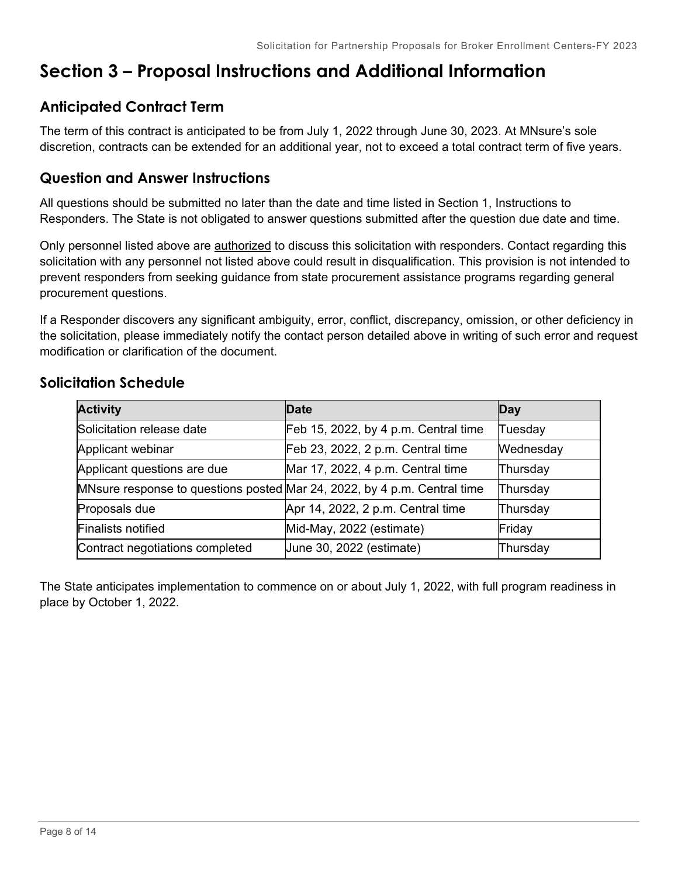## <span id="page-7-0"></span>**Section 3 – Proposal Instructions and Additional Information**

## **Anticipated Contract Term**

The term of this contract is anticipated to be from July 1, 2022 through June 30, 2023. At MNsure's sole discretion, contracts can be extended for an additional year, not to exceed a total contract term of five years.

## **Question and Answer Instructions**

All questions should be submitted no later than the date and time listed in Section 1, Instructions to Responders. The State is not obligated to answer questions submitted after the question due date and time.

Only personnel listed above are authorized to discuss this solicitation with responders. Contact regarding this solicitation with any personnel not listed above could result in disqualification. This provision is not intended to prevent responders from seeking guidance from state procurement assistance programs regarding general procurement questions.

If a Responder discovers any significant ambiguity, error, conflict, discrepancy, omission, or other deficiency in the solicitation, please immediately notify the contact person detailed above in writing of such error and request modification or clarification of the document.

| <b>Activity</b>                                                          | <b>Date</b>                          | Day       |
|--------------------------------------------------------------------------|--------------------------------------|-----------|
| Solicitation release date                                                | Feb 15, 2022, by 4 p.m. Central time | Tuesday   |
| Applicant webinar                                                        | Feb 23, 2022, 2 p.m. Central time    | Wednesday |
| Applicant questions are due                                              | Mar 17, 2022, 4 p.m. Central time    | Thursday  |
| MNsure response to questions posted Mar 24, 2022, by 4 p.m. Central time |                                      | Thursday  |
| Proposals due                                                            | Apr 14, 2022, 2 p.m. Central time    | Thursday  |
| <b>Finalists notified</b>                                                | Mid-May, 2022 (estimate)             | Friday    |
| Contract negotiations completed                                          | June 30, 2022 (estimate)             | Thursday  |

## **Solicitation Schedule**

The State anticipates implementation to commence on or about July 1, 2022, with full program readiness in place by October 1, 2022.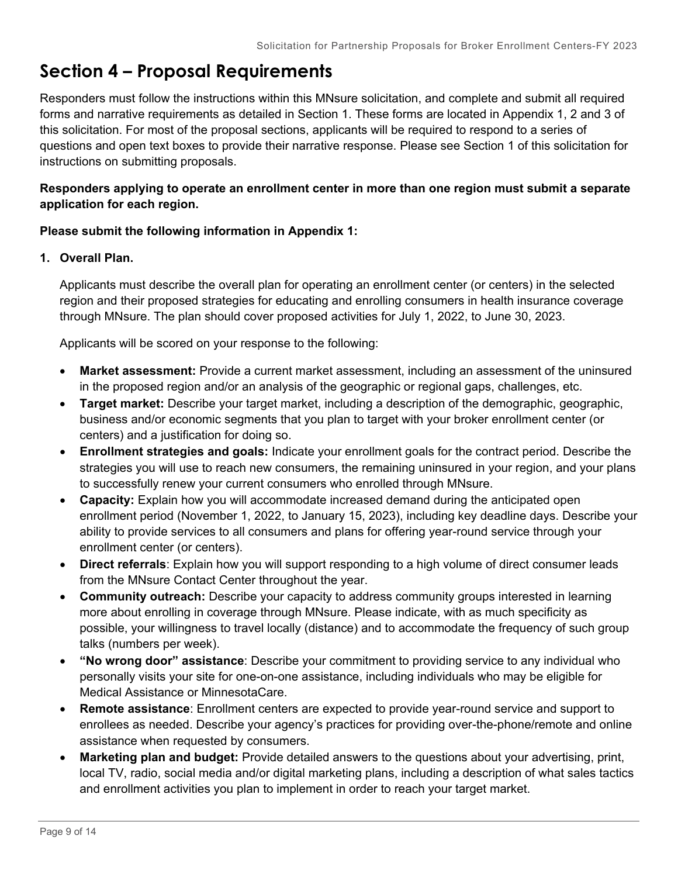## <span id="page-8-0"></span>**Section 4 – Proposal Requirements**

Responders must follow the instructions within this MNsure solicitation, and complete and submit all required forms and narrative requirements as detailed in Section 1. These forms are located in Appendix 1, 2 and 3 of this solicitation. For most of the proposal sections, applicants will be required to respond to a series of questions and open text boxes to provide their narrative response. Please see Section 1 of this solicitation for instructions on submitting proposals.

#### **Responders applying to operate an enrollment center in more than one region must submit a separate application for each region.**

#### **Please submit the following information in Appendix 1:**

#### **1. Overall Plan.**

Applicants must describe the overall plan for operating an enrollment center (or centers) in the selected region and their proposed strategies for educating and enrolling consumers in health insurance coverage through MNsure. The plan should cover proposed activities for July 1, 2022, to June 30, 2023.

Applicants will be scored on your response to the following:

- **Market assessment:** Provide a current market assessment, including an assessment of the uninsured in the proposed region and/or an analysis of the geographic or regional gaps, challenges, etc.
- **Target market:** Describe your target market, including a description of the demographic, geographic, business and/or economic segments that you plan to target with your broker enrollment center (or centers) and a justification for doing so.
- **Enrollment strategies and goals:** Indicate your enrollment goals for the contract period. Describe the strategies you will use to reach new consumers, the remaining uninsured in your region, and your plans to successfully renew your current consumers who enrolled through MNsure.
- **Capacity:** Explain how you will accommodate increased demand during the anticipated open enrollment period (November 1, 2022, to January 15, 2023), including key deadline days. Describe your ability to provide services to all consumers and plans for offering year-round service through your enrollment center (or centers).
- **Direct referrals**: Explain how you will support responding to a high volume of direct consumer leads from the MNsure Contact Center throughout the year.
- **Community outreach:** Describe your capacity to address community groups interested in learning more about enrolling in coverage through MNsure. Please indicate, with as much specificity as possible, your willingness to travel locally (distance) and to accommodate the frequency of such group talks (numbers per week).
- **"No wrong door" assistance**: Describe your commitment to providing service to any individual who personally visits your site for one-on-one assistance, including individuals who may be eligible for Medical Assistance or MinnesotaCare.
- **Remote assistance**: Enrollment centers are expected to provide year-round service and support to enrollees as needed. Describe your agency's practices for providing over-the-phone/remote and online assistance when requested by consumers.
- **Marketing plan and budget:** Provide detailed answers to the questions about your advertising, print, local TV, radio, social media and/or digital marketing plans, including a description of what sales tactics and enrollment activities you plan to implement in order to reach your target market.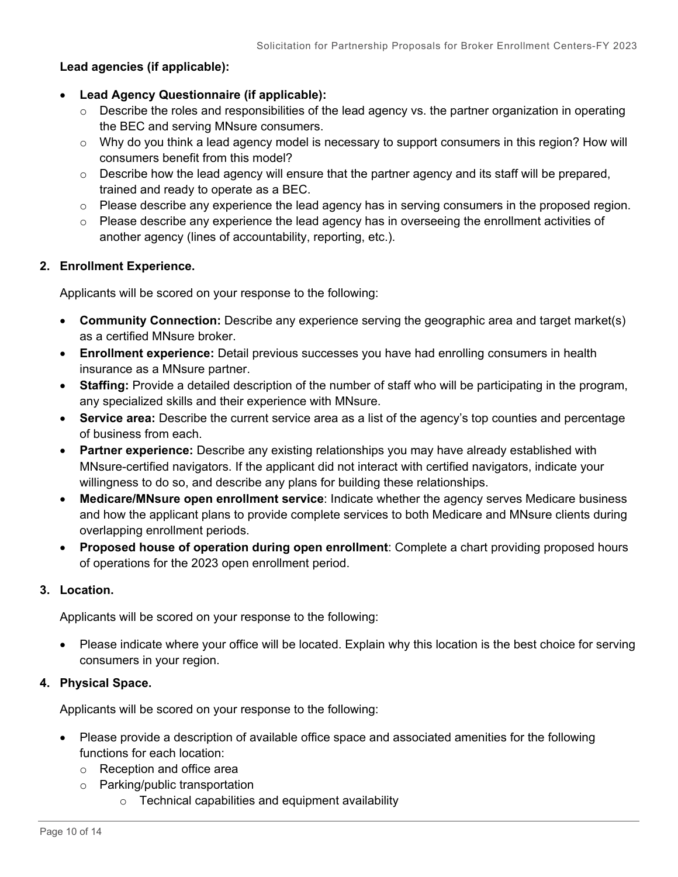#### **Lead agencies (if applicable):**

- **Lead Agency Questionnaire (if applicable):**
	- o Describe the roles and responsibilities of the lead agency vs. the partner organization in operating the BEC and serving MNsure consumers.
	- $\circ$  Why do you think a lead agency model is necessary to support consumers in this region? How will consumers benefit from this model?
	- $\circ$  Describe how the lead agency will ensure that the partner agency and its staff will be prepared, trained and ready to operate as a BEC.
	- $\circ$  Please describe any experience the lead agency has in serving consumers in the proposed region.
	- $\circ$  Please describe any experience the lead agency has in overseeing the enrollment activities of another agency (lines of accountability, reporting, etc.).

#### **2. Enrollment Experience.**

Applicants will be scored on your response to the following:

- **Community Connection:** Describe any experience serving the geographic area and target market(s) as a certified MNsure broker.
- **Enrollment experience:** Detail previous successes you have had enrolling consumers in health insurance as a MNsure partner.
- **Staffing:** Provide a detailed description of the number of staff who will be participating in the program, any specialized skills and their experience with MNsure.
- **Service area:** Describe the current service area as a list of the agency's top counties and percentage of business from each.
- **Partner experience:** Describe any existing relationships you may have already established with MNsure-certified navigators. If the applicant did not interact with certified navigators, indicate your willingness to do so, and describe any plans for building these relationships.
- **Medicare/MNsure open enrollment service**: Indicate whether the agency serves Medicare business and how the applicant plans to provide complete services to both Medicare and MNsure clients during overlapping enrollment periods.
- **Proposed house of operation during open enrollment**: Complete a chart providing proposed hours of operations for the 2023 open enrollment period.

#### **3. Location.**

Applicants will be scored on your response to the following:

• Please indicate where your office will be located. Explain why this location is the best choice for serving consumers in your region.

#### **4. Physical Space.**

Applicants will be scored on your response to the following:

- Please provide a description of available office space and associated amenities for the following functions for each location:
	- o Reception and office area
	- o Parking/public transportation
		- $\circ$  Technical capabilities and equipment availability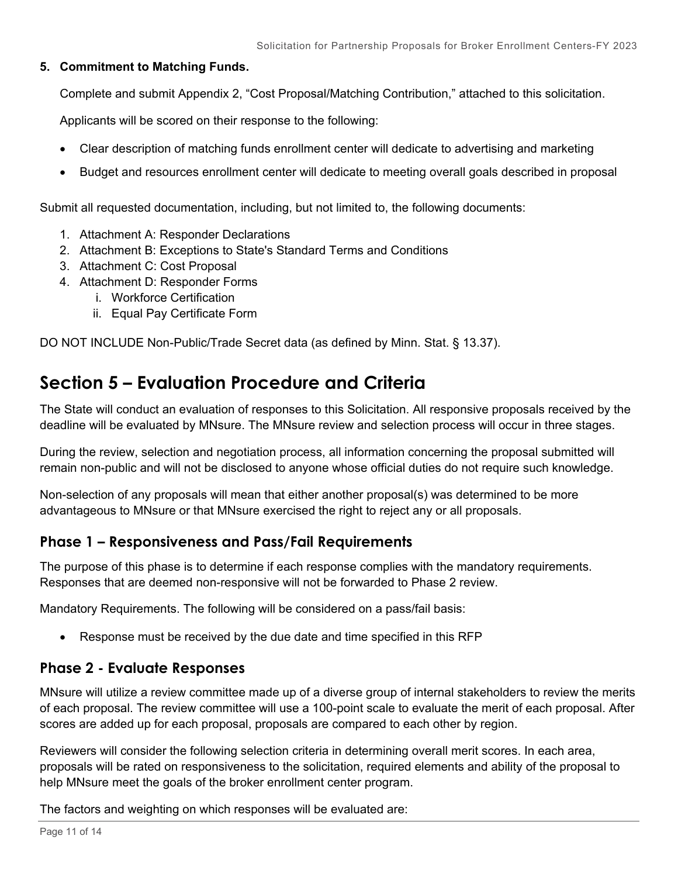#### **5. Commitment to Matching Funds.**

Complete and submit Appendix 2, "Cost Proposal/Matching Contribution," attached to this solicitation.

Applicants will be scored on their response to the following:

- Clear description of matching funds enrollment center will dedicate to advertising and marketing
- Budget and resources enrollment center will dedicate to meeting overall goals described in proposal

Submit all requested documentation, including, but not limited to, the following documents:

- 1. Attachment A: Responder Declarations
- 2. Attachment B: Exceptions to State's Standard Terms and Conditions
- 3. Attachment C: Cost Proposal
- 4. Attachment D: Responder Forms
	- i. Workforce Certification
	- ii. Equal Pay Certificate Form

DO NOT INCLUDE Non-Public/Trade Secret data (as defined by Minn. Stat. § 13.37).

## <span id="page-10-0"></span>**Section 5 – Evaluation Procedure and Criteria**

The State will conduct an evaluation of responses to this Solicitation. All responsive proposals received by the deadline will be evaluated by MNsure. The MNsure review and selection process will occur in three stages.

During the review, selection and negotiation process, all information concerning the proposal submitted will remain non-public and will not be disclosed to anyone whose official duties do not require such knowledge.

Non-selection of any proposals will mean that either another proposal(s) was determined to be more advantageous to MNsure or that MNsure exercised the right to reject any or all proposals.

#### **Phase 1 – Responsiveness and Pass/Fail Requirements**

The purpose of this phase is to determine if each response complies with the mandatory requirements. Responses that are deemed non-responsive will not be forwarded to Phase 2 review.

Mandatory Requirements. The following will be considered on a pass/fail basis:

• Response must be received by the due date and time specified in this RFP

## **Phase 2 - Evaluate Responses**

MNsure will utilize a review committee made up of a diverse group of internal stakeholders to review the merits of each proposal. The review committee will use a 100-point scale to evaluate the merit of each proposal. After scores are added up for each proposal, proposals are compared to each other by region.

Reviewers will consider the following selection criteria in determining overall merit scores. In each area, proposals will be rated on responsiveness to the solicitation, required elements and ability of the proposal to help MNsure meet the goals of the broker enrollment center program.

The factors and weighting on which responses will be evaluated are: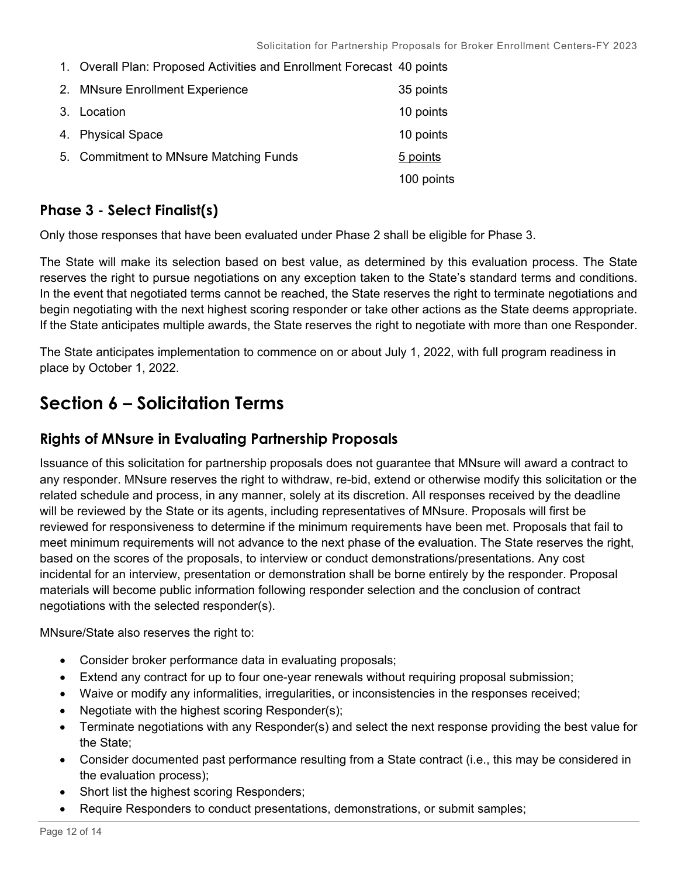1. Overall Plan: Proposed Activities and Enrollment Forecast 40 points

| 2. MNsure Enrollment Experience        | 35 points  |
|----------------------------------------|------------|
| 3. Location                            | 10 points  |
| 4. Physical Space                      | 10 points  |
| 5. Commitment to MNsure Matching Funds | 5 points   |
|                                        | 100 points |

### **Phase 3 - Select Finalist(s)**

Only those responses that have been evaluated under Phase 2 shall be eligible for Phase 3.

The State will make its selection based on best value, as determined by this evaluation process. The State reserves the right to pursue negotiations on any exception taken to the State's standard terms and conditions. In the event that negotiated terms cannot be reached, the State reserves the right to terminate negotiations and begin negotiating with the next highest scoring responder or take other actions as the State deems appropriate. If the State anticipates multiple awards, the State reserves the right to negotiate with more than one Responder.

The State anticipates implementation to commence on or about July 1, 2022, with full program readiness in place by October 1, 2022.

## <span id="page-11-0"></span>**Section 6 – Solicitation Terms**

### **Rights of MNsure in Evaluating Partnership Proposals**

Issuance of this solicitation for partnership proposals does not guarantee that MNsure will award a contract to any responder. MNsure reserves the right to withdraw, re-bid, extend or otherwise modify this solicitation or the related schedule and process, in any manner, solely at its discretion. All responses received by the deadline will be reviewed by the State or its agents, including representatives of MNsure. Proposals will first be reviewed for responsiveness to determine if the minimum requirements have been met. Proposals that fail to meet minimum requirements will not advance to the next phase of the evaluation. The State reserves the right, based on the scores of the proposals, to interview or conduct demonstrations/presentations. Any cost incidental for an interview, presentation or demonstration shall be borne entirely by the responder. Proposal materials will become public information following responder selection and the conclusion of contract negotiations with the selected responder(s).

MNsure/State also reserves the right to:

- Consider broker performance data in evaluating proposals;
- Extend any contract for up to four one-year renewals without requiring proposal submission;
- Waive or modify any informalities, irregularities, or inconsistencies in the responses received;
- Negotiate with the highest scoring Responder(s);
- Terminate negotiations with any Responder(s) and select the next response providing the best value for the State;
- Consider documented past performance resulting from a State contract (i.e., this may be considered in the evaluation process);
- Short list the highest scoring Responders;
- Require Responders to conduct presentations, demonstrations, or submit samples;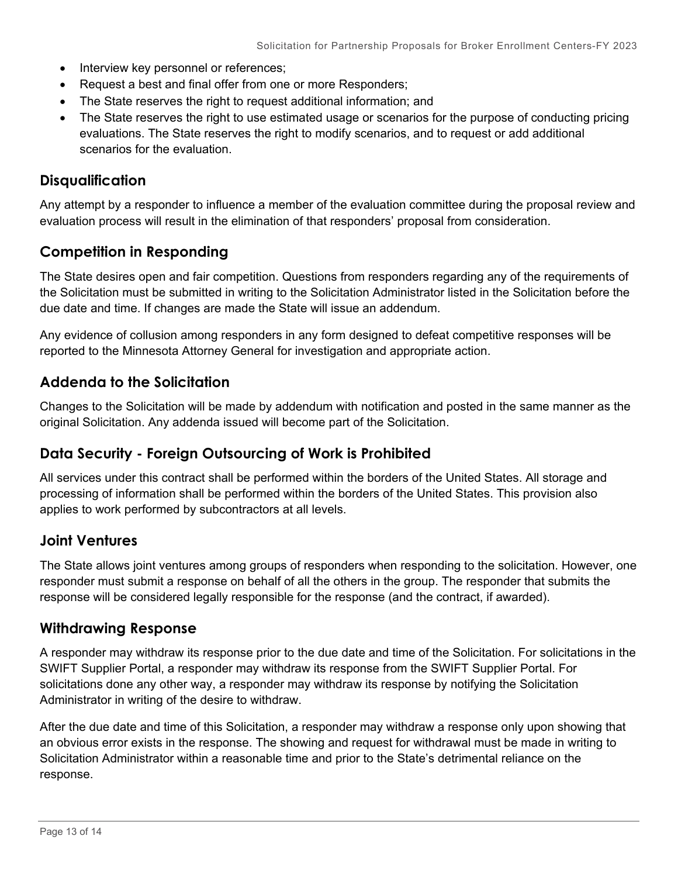- Interview key personnel or references;
- Request a best and final offer from one or more Responders;
- The State reserves the right to request additional information; and
- The State reserves the right to use estimated usage or scenarios for the purpose of conducting pricing evaluations. The State reserves the right to modify scenarios, and to request or add additional scenarios for the evaluation.

#### **Disqualification**

Any attempt by a responder to influence a member of the evaluation committee during the proposal review and evaluation process will result in the elimination of that responders' proposal from consideration.

#### **Competition in Responding**

The State desires open and fair competition. Questions from responders regarding any of the requirements of the Solicitation must be submitted in writing to the Solicitation Administrator listed in the Solicitation before the due date and time. If changes are made the State will issue an addendum.

Any evidence of collusion among responders in any form designed to defeat competitive responses will be reported to the Minnesota Attorney General for investigation and appropriate action.

#### **Addenda to the Solicitation**

Changes to the Solicitation will be made by addendum with notification and posted in the same manner as the original Solicitation. Any addenda issued will become part of the Solicitation.

#### **Data Security - Foreign Outsourcing of Work is Prohibited**

All services under this contract shall be performed within the borders of the United States. All storage and processing of information shall be performed within the borders of the United States. This provision also applies to work performed by subcontractors at all levels.

#### **Joint Ventures**

The State allows joint ventures among groups of responders when responding to the solicitation. However, one responder must submit a response on behalf of all the others in the group. The responder that submits the response will be considered legally responsible for the response (and the contract, if awarded).

#### **Withdrawing Response**

A responder may withdraw its response prior to the due date and time of the Solicitation. For solicitations in the SWIFT Supplier Portal, a responder may withdraw its response from the SWIFT Supplier Portal. For solicitations done any other way, a responder may withdraw its response by notifying the Solicitation Administrator in writing of the desire to withdraw.

After the due date and time of this Solicitation, a responder may withdraw a response only upon showing that an obvious error exists in the response. The showing and request for withdrawal must be made in writing to Solicitation Administrator within a reasonable time and prior to the State's detrimental reliance on the response.